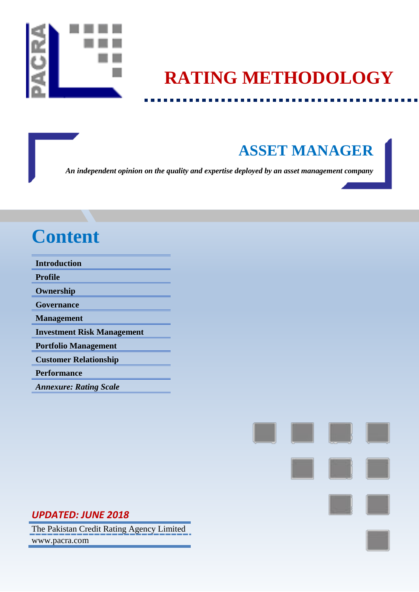

# **RATING METHODOLOGY**

## **ASSET MANAGER**

*An independent opinion on the quality and expertise deployed by an asset management company*

# **Content**

| <b>Introduction</b>               |
|-----------------------------------|
| <b>Profile</b>                    |
| Ownership                         |
| Governance                        |
| <b>Management</b>                 |
| <b>Investment Risk Management</b> |
|                                   |
| <b>Portfolio Management</b>       |
| <b>Customer Relationship</b>      |
| Performance                       |

### *UPDATED: JUNE 2018*

The Pakistan Credit Rating Agency Limited www.pacra.com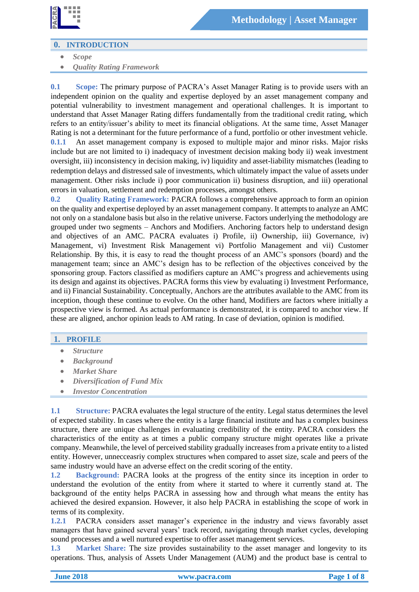

#### **0. INTRODUCTION**

- *Scope*
- *Quality Rating Framework*

**0.1 Scope:** The primary purpose of PACRA's Asset Manager Rating is to provide users with an independent opinion on the quality and expertise deployed by an asset management company and potential vulnerability to investment management and operational challenges. It is important to understand that Asset Manager Rating differs fundamentally from the traditional credit rating, which refers to an entity/issuer's ability to meet its financial obligations. At the same time, Asset Manager Rating is not a determinant for the future performance of a fund, portfolio or other investment vehicle. **0.1.1** An asset management company is exposed to multiple major and minor risks. Major risks include but are not limited to i) inadequacy of investment decision making body ii) weak investment oversight, iii) inconsistency in decision making, iv) liquidity and asset-liability mismatches (leading to redemption delays and distressed sale of investments, which ultimately impact the value of assets under management. Other risks include i) poor communication ii) business disruption, and iii) operational errors in valuation, settlement and redemption processes, amongst others.

**0.2 Quality Rating Framework:** PACRA follows a comprehensive approach to form an opinion on the quality and expertise deployed by an asset management company. It attempts to analyze an AMC not only on a standalone basis but also in the relative universe. Factors underlying the methodology are grouped under two segments – Anchors and Modifiers. Anchoring factors help to understand design and objectives of an AMC. PACRA evaluates i) Profile, ii) Ownership, iii) Governance, iv) Management, vi) Investment Risk Management vi) Portfolio Management and vii) Customer Relationship. By this, it is easy to read the thought process of an AMC's sponsors (board) and the management team; since an AMC's design has to be reflection of the objectives conceived by the sponsoring group. Factors classified as modifiers capture an AMC's progress and achievements using its design and against its objectives. PACRA forms this view by evaluating i) Investment Performance, and ii) Financial Sustainability. Conceptually, Anchors are the attributes available to the AMC from its inception, though these continue to evolve. On the other hand, Modifiers are factors where initially a prospective view is formed. As actual performance is demonstrated, it is compared to anchor view. If these are aligned, anchor opinion leads to AM rating. In case of deviation, opinion is modified.

#### **1. PROFILE**

- *Structure*
- *Background*
- *Market Share*
- *Diversification of Fund Mix*
- *Investor Concentration*

**1.1 Structure:** PACRA evaluates the legal structure of the entity. Legal status determines the level of expected stability. In cases where the entity is a large financial institute and has a complex business structure, there are unique challenges in evaluating credibility of the entity. PACRA considers the characteristics of the entity as at times a public company structure might operates like a private company. Meanwhile, the level of perceived stability gradually increases from a private entity to a listed entity. However, unnecceasriy complex structures when compared to asset size, scale and peers of the same industry would have an adverse effect on the credit scoring of the entity.

**1.2 Background:** PACRA looks at the progress of the entity since its inception in order to understand the evolution of the entity from where it started to where it currently stand at. The background of the entity helps PACRA in assessing how and through what means the entity has achieved the desired expansion. However, it also help PACRA in establishing the scope of work in terms of its complexity.

**1.2.1** PACRA considers asset manager's experience in the industry and views favorably asset managers that have gained several years' track record, navigating through market cycles, developing sound processes and a well nurtured expertise to offer asset management services.

**1.3 Market Share:** The size provides sustainability to the asset manager and longevity to its operations. Thus, analysis of Assets Under Management (AUM) and the product base is central to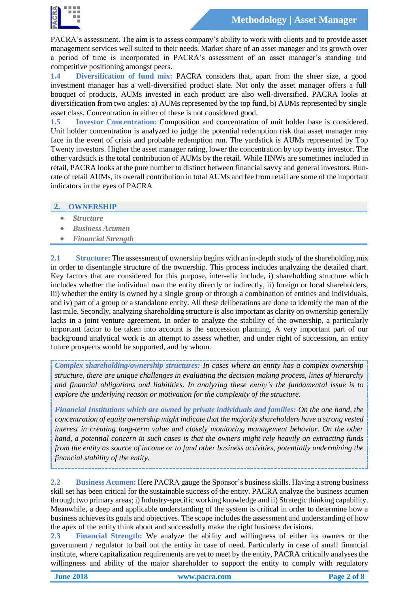

PACRA's assessment. The aim is to assess company's ability to work with clients and to provide asset management services well-suited to their needs. Market share of an asset manager and its growth over a period of time is incorporated in PACRA's assessment of an asset manager's standing and competitive positioning amongst peers.

**1.4 Diversification of fund mix:** PACRA considers that, apart from the sheer size, a good investment manager has a well-diversified product slate. Not only the asset manager offers a full bouquet of products, AUMs invested in each product are also well-diversified. PACRA looks at diversification from two angles: a) AUMs represented by the top fund, b) AUMs represented by single asset class. Concentration in either of these is not considered good.

**1.5 Investor Concentration:** Composition and concentration of unit holder base is considered. Unit holder concentration is analyzed to judge the potential redemption risk that asset manager may face in the event of crisis and probable redemption run. The yardstick is AUMs represented by Top Twenty investors. Higher the asset manager rating, lower the concentration by top twenty investor. The other yardstick is the total contribution of AUMs by the retail. While HNWs are sometimes included in retail, PACRA looks at the pure number to distinct between financial savvy and general investors. Runrate of retail AUMs, its overall contribution in total AUMs and fee from retail are some of the important indicators in the eyes of PACRA

#### **2. OWNERSHIP**

- *Structure*
- *Business Acumen*
- *Financial Strength*

**2.1 Structure:** The assessment of ownership begins with an in-depth study of the shareholding mix in order to disentangle structure of the ownership. This process includes analyzing the detailed chart. Key factors that are considered for this purpose, inter-alia include, i) shareholding structure which includes whether the individual own the entity directly or indirectly, ii) foreign or local shareholders, iii) whether the entity is owned by a single group or through a combination of entities and individuals, and iv) part of a group or a standalone entity. All these deliberations are done to identify the man of the last mile. Secondly, analyzing shareholding structure is also important as clarity on ownership generally lacks in a joint venture agreement. In order to analyze the stability of the ownership, a particularly important factor to be taken into account is the succession planning. A very important part of our background analytical work is an attempt to assess whether, and under right of succession, an entity future prospects would be supported, and by whom.

*Complex shareholding/ownership structures: In cases where an entity has a complex ownership structure, there are unique challenges in evaluating the decision making process, lines of hierarchy and financial obligations and liabilities. In analyzing these entity's the fundamental issue is to explore the underlying reason or motivation for the complexity of the structure.*

*Financial Institutions which are owned by private individuals and families: On the one hand, the concentration of equity ownership might indicate that the majority shareholders have a strong vested interest in creating long-term value and closely monitoring management behavior. On the other hand, a potential concern in such cases is that the owners might rely heavily on extracting funds from the entity as source of income or to fund other business activities, potentially undermining the financial stability of the entity.*

**2.2 Business Acumen:** Here PACRA gauge the Sponsor's business skills. Having a strong business skill set has been critical for the sustainable success of the entity. PACRA analyze the business acumen through two primary areas; i) Industry-specific working knowledge and ii) Strategic thinking capability. Meanwhile, a deep and applicable understanding of the system is critical in order to determine how a business achieves its goals and objectives. The scope includes the assessment and understanding of how the apex of the entity think about and successfully make the right business decisions.

**2.3 Financial Strength:** We analyze the ability and willingness of either its owners or the government / regulator to bail out the entity in case of need. Particularly in case of small financial institute, where capitalization requirements are yet to meet by the entity, PACRA critically analyses the willingness and ability of the major shareholder to support the entity to comply with regulatory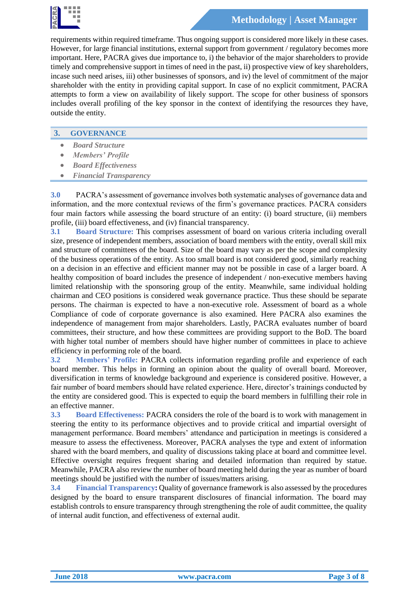

requirements within required timeframe. Thus ongoing support is considered more likely in these cases. However, for large financial institutions, external support from government / regulatory becomes more important. Here, PACRA gives due importance to, i) the behavior of the major shareholders to provide timely and comprehensive support in times of need in the past, ii) prospective view of key shareholders, incase such need arises, iii) other businesses of sponsors, and iv) the level of commitment of the major shareholder with the entity in providing capital support. In case of no explicit commitment, PACRA attempts to form a view on availability of likely support. The scope for other business of sponsors includes overall profiling of the key sponsor in the context of identifying the resources they have, outside the entity.

#### **3. GOVERNANCE**

- *Board Structure*
- *Members' Profile*
- *Board Effectiveness*
- *Financial Transparency*

**3.0** PACRA's assessment of governance involves both systematic analyses of governance data and information, and the more contextual reviews of the firm's governance practices. PACRA considers four main factors while assessing the board structure of an entity: (i) board structure, (ii) members profile, (iii) board effectiveness, and (iv) financial transparency.

**3.1 Board Structure:** This comprises assessment of board on various criteria including overall size, presence of independent members, association of board members with the entity, overall skill mix and structure of committees of the board. Size of the board may vary as per the scope and complexity of the business operations of the entity. As too small board is not considered good, similarly reaching on a decision in an effective and efficient manner may not be possible in case of a larger board. A healthy composition of board includes the presence of independent / non-executive members having limited relationship with the sponsoring group of the entity. Meanwhile, same individual holding chairman and CEO positions is considered weak governance practice. Thus these should be separate persons. The chairman is expected to have a non-executive role. Assessment of board as a whole Compliance of code of corporate governance is also examined. Here PACRA also examines the independence of management from major shareholders. Lastly, PACRA evaluates number of board committees, their structure, and how these committees are providing support to the BoD. The board with higher total number of members should have higher number of committees in place to achieve efficiency in performing role of the board.

**3.2 Members' Profile:** PACRA collects information regarding profile and experience of each board member. This helps in forming an opinion about the quality of overall board. Moreover, diversification in terms of knowledge background and experience is considered positive. However, a fair number of board members should have related experience. Here, director's trainings conducted by the entity are considered good. This is expected to equip the board members in fulfilling their role in an effective manner.

**3.3 Board Effectiveness:** PACRA considers the role of the board is to work with management in steering the entity to its performance objectives and to provide critical and impartial oversight of management performance. Board members' attendance and participation in meetings is considered a measure to assess the effectiveness. Moreover, PACRA analyses the type and extent of information shared with the board members, and quality of discussions taking place at board and committee level. Effective oversight requires frequent sharing and detailed information than required by statue. Meanwhile, PACRA also review the number of board meeting held during the year as number of board meetings should be justified with the number of issues/matters arising.

**3.4 Financial Transparency:** Quality of governance framework is also assessed by the procedures designed by the board to ensure transparent disclosures of financial information. The board may establish controls to ensure transparency through strengthening the role of audit committee, the quality of internal audit function, and effectiveness of external audit.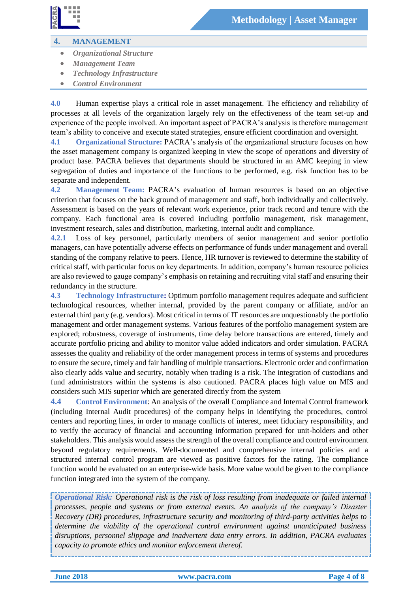

#### **4. MANAGEMENT**

- *Organizational Structure*
- *Management Team*
- *Technology Infrastructure*
- *Control Environment*

**4.0** Human expertise plays a critical role in asset management. The efficiency and reliability of processes at all levels of the organization largely rely on the effectiveness of the team set-up and experience of the people involved. An important aspect of PACRA's analysis is therefore management team's ability to conceive and execute stated strategies, ensure efficient coordination and oversight.

**4.1 Organizational Structure:** PACRA's analysis of the organizational structure focuses on how the asset management company is organized keeping in view the scope of operations and diversity of product base. PACRA believes that departments should be structured in an AMC keeping in view segregation of duties and importance of the functions to be performed, e.g. risk function has to be separate and independent.

**4.2 Management Team:** PACRA's evaluation of human resources is based on an objective criterion that focuses on the back ground of management and staff, both individually and collectively. Assessment is based on the years of relevant work experience, prior track record and tenure with the company. Each functional area is covered including portfolio management, risk management, investment research, sales and distribution, marketing, internal audit and compliance.

**4.2.1** Loss of key personnel, particularly members of senior management and senior portfolio managers, can have potentially adverse effects on performance of funds under management and overall standing of the company relative to peers. Hence, HR turnover is reviewed to determine the stability of critical staff, with particular focus on key departments. In addition, company's human resource policies are also reviewed to gauge company's emphasis on retaining and recruiting vital staff and ensuring their redundancy in the structure.

**4.3 Technology Infrastructure:** Optimum portfolio management requires adequate and sufficient technological resources, whether internal, provided by the parent company or affiliate, and/or an external third party (e.g. vendors). Most critical in terms of IT resources are unquestionably the portfolio management and order management systems. Various features of the portfolio management system are explored; robustness, coverage of instruments, time delay before transactions are entered, timely and accurate portfolio pricing and ability to monitor value added indicators and order simulation. PACRA assesses the quality and reliability of the order management process in terms of systems and procedures to ensure the secure, timely and fair handling of multiple transactions. Electronic order and confirmation also clearly adds value and security, notably when trading is a risk. The integration of custodians and fund administrators within the systems is also cautioned. PACRA places high value on MIS and considers such MIS superior which are generated directly from the system

**4.4 Control Environment**: An analysis of the overall Compliance and Internal Control framework (including Internal Audit procedures) of the company helps in identifying the procedures, control centers and reporting lines, in order to manage conflicts of interest, meet fiduciary responsibility, and to verify the accuracy of financial and accounting information prepared for unit-holders and other stakeholders. This analysis would assess the strength of the overall compliance and control environment beyond regulatory requirements. Well-documented and comprehensive internal policies and a structured internal control program are viewed as positive factors for the rating. The compliance function would be evaluated on an enterprise-wide basis. More value would be given to the compliance function integrated into the system of the company.

*Operational Risk: Operational risk is the risk of loss resulting from inadequate or failed internal processes, people and systems or from external events. An analysis of the company's Disaster Recovery (DR) procedures, infrastructure security and monitoring of third-party activities helps to determine the viability of the operational control environment against unanticipated business disruptions, personnel slippage and inadvertent data entry errors. In addition, PACRA evaluates capacity to promote ethics and monitor enforcement thereof.*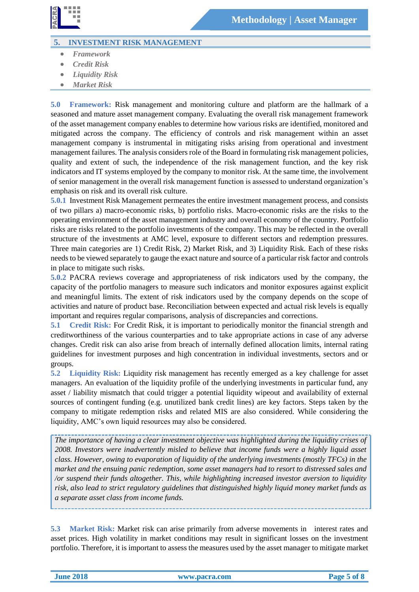

#### **5. INVESTMENT RISK MANAGEMENT**

- *Framework*
- *Credit Risk*
- *Liquidity Risk*
- *Market Risk*

**5.0 Framework:** Risk management and monitoring culture and platform are the hallmark of a seasoned and mature asset management company. Evaluating the overall risk management framework of the asset management company enables to determine how various risks are identified, monitored and mitigated across the company. The efficiency of controls and risk management within an asset management company is instrumental in mitigating risks arising from operational and investment management failures. The analysis considers role of the Board in formulating risk management policies, quality and extent of such, the independence of the risk management function, and the key risk indicators and IT systems employed by the company to monitor risk. At the same time, the involvement of senior management in the overall risk management function is assessed to understand organization's emphasis on risk and its overall risk culture.

**5.0.1** Investment Risk Management permeates the entire investment management process, and consists of two pillars a) macro-economic risks, b) portfolio risks. Macro-economic risks are the risks to the operating environment of the asset management industry and overall economy of the country. Portfolio risks are risks related to the portfolio investments of the company. This may be reflected in the overall structure of the investments at AMC level, exposure to different sectors and redemption pressures. Three main categories are 1) Credit Risk, 2) Market Risk, and 3) Liquidity Risk. Each of these risks needs to be viewed separately to gauge the exact nature and source of a particular risk factor and controls in place to mitigate such risks.

**5.0.2** PACRA reviews coverage and appropriateness of risk indicators used by the company, the capacity of the portfolio managers to measure such indicators and monitor exposures against explicit and meaningful limits. The extent of risk indicators used by the company depends on the scope of activities and nature of product base. Reconciliation between expected and actual risk levels is equally important and requires regular comparisons, analysis of discrepancies and corrections.

**5.1 Credit Risk:** For Credit Risk, it is important to periodically monitor the financial strength and creditworthiness of the various counterparties and to take appropriate actions in case of any adverse changes. Credit risk can also arise from breach of internally defined allocation limits, internal rating guidelines for investment purposes and high concentration in individual investments, sectors and or groups.

**5.2 Liquidity Risk:** Liquidity risk management has recently emerged as a key challenge for asset managers. An evaluation of the liquidity profile of the underlying investments in particular fund, any asset / liability mismatch that could trigger a potential liquidity wipeout and availability of external sources of contingent funding (e.g. unutilized bank credit lines) are key factors. Steps taken by the company to mitigate redemption risks and related MIS are also considered. While considering the liquidity, AMC's own liquid resources may also be considered.

*The importance of having a clear investment objective was highlighted during the liquidity crises of 2008. Investors were inadvertently misled to believe that income funds were a highly liquid asset class. However, owing to evaporation of liquidity of the underlying investments (mostly TFCs) in the market and the ensuing panic redemption, some asset managers had to resort to distressed sales and /or suspend their funds altogether. This, while highlighting increased investor aversion to liquidity risk, also lead to strict regulatory guidelines that distinguished highly liquid money market funds as a separate asset class from income funds.*

**5.3 Market Risk:** Market risk can arise primarily from adverse movements in interest rates and asset prices. High volatility in market conditions may result in significant losses on the investment portfolio. Therefore, it is important to assess the measures used by the asset manager to mitigate market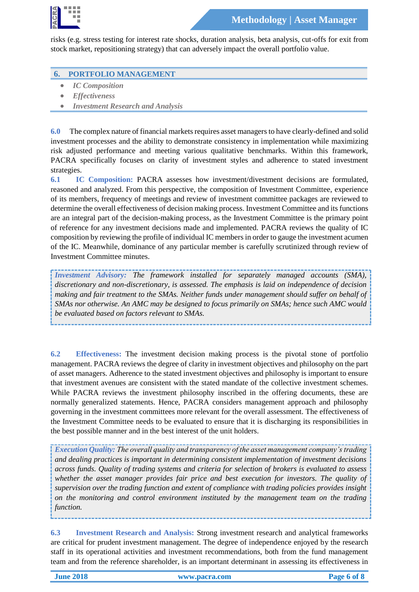

risks (e.g. stress testing for interest rate shocks, duration analysis, beta analysis, cut-offs for exit from stock market, repositioning strategy) that can adversely impact the overall portfolio value.

#### **6. PORTFOLIO MANAGEMENT**

- *IC Composition*
- *Effectiveness*
- *Investment Research and Analysis*

**6.0** The complex nature of financial markets requires asset managers to have clearly-defined and solid investment processes and the ability to demonstrate consistency in implementation while maximizing risk adjusted performance and meeting various qualitative benchmarks. Within this framework, PACRA specifically focuses on clarity of investment styles and adherence to stated investment strategies.

**6.1 IC Composition:** PACRA assesses how investment/divestment decisions are formulated, reasoned and analyzed. From this perspective, the composition of Investment Committee, experience of its members, frequency of meetings and review of investment committee packages are reviewed to determine the overall effectiveness of decision making process. Investment Committee and its functions are an integral part of the decision-making process, as the Investment Committee is the primary point of reference for any investment decisions made and implemented. PACRA reviews the quality of IC composition by reviewing the profile of individual IC members in order to gauge the investment acumen of the IC. Meanwhile, dominance of any particular member is carefully scrutinized through review of Investment Committee minutes.

*Investment Advisory: The framework installed for separately managed accounts (SMA), discretionary and non-discretionary, is assessed. The emphasis is laid on independence of decision making and fair treatment to the SMAs. Neither funds under management should suffer on behalf of SMAs nor otherwise. An AMC may be designed to focus primarily on SMAs; hence such AMC would be evaluated based on factors relevant to SMAs.*

**6.2 Effectiveness:** The investment decision making process is the pivotal stone of portfolio management. PACRA reviews the degree of clarity in investment objectives and philosophy on the part of asset managers. Adherence to the stated investment objectives and philosophy is important to ensure that investment avenues are consistent with the stated mandate of the collective investment schemes. While PACRA reviews the investment philosophy inscribed in the offering documents, these are normally generalized statements. Hence, PACRA considers management approach and philosophy governing in the investment committees more relevant for the overall assessment. The effectiveness of the Investment Committee needs to be evaluated to ensure that it is discharging its responsibilities in the best possible manner and in the best interest of the unit holders.

*Execution Quality: The overall quality and transparency of the asset management company's trading and dealing practices is important in determining consistent implementation of investment decisions across funds. Quality of trading systems and criteria for selection of brokers is evaluated to assess whether the asset manager provides fair price and best execution for investors. The quality of supervision over the trading function and extent of compliance with trading policies provides insight on the monitoring and control environment instituted by the management team on the trading function.*

**6.3 Investment Research and Analysis:** Strong investment research and analytical frameworks are critical for prudent investment management. The degree of independence enjoyed by the research staff in its operational activities and investment recommendations, both from the fund management team and from the reference shareholder, is an important determinant in assessing its effectiveness in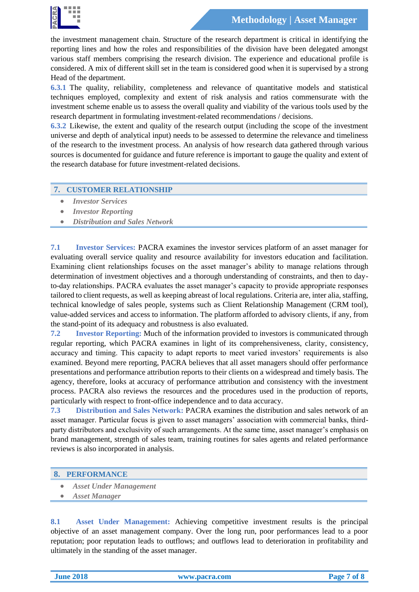

the investment management chain. Structure of the research department is critical in identifying the reporting lines and how the roles and responsibilities of the division have been delegated amongst various staff members comprising the research division. The experience and educational profile is considered. A mix of different skill set in the team is considered good when it is supervised by a strong Head of the department.

**6.3.1** The quality, reliability, completeness and relevance of quantitative models and statistical techniques employed, complexity and extent of risk analysis and ratios commensurate with the investment scheme enable us to assess the overall quality and viability of the various tools used by the research department in formulating investment-related recommendations / decisions.

**6.3.2** Likewise, the extent and quality of the research output (including the scope of the investment universe and depth of analytical input) needs to be assessed to determine the relevance and timeliness of the research to the investment process. An analysis of how research data gathered through various sources is documented for guidance and future reference is important to gauge the quality and extent of the research database for future investment-related decisions.

#### **7. CUSTOMER RELATIONSHIP**

- *Investor Services*
- *Investor Reporting*
- *Distribution and Sales Network*

**7.1 Investor Services:** PACRA examines the investor services platform of an asset manager for evaluating overall service quality and resource availability for investors education and facilitation. Examining client relationships focuses on the asset manager's ability to manage relations through determination of investment objectives and a thorough understanding of constraints, and then to dayto-day relationships. PACRA evaluates the asset manager's capacity to provide appropriate responses tailored to client requests, as well as keeping abreast of local regulations. Criteria are, inter alia, staffing, technical knowledge of sales people, systems such as Client Relationship Management (CRM tool), value-added services and access to information. The platform afforded to advisory clients, if any, from the stand-point of its adequacy and robustness is also evaluated.

**7.2 Investor Reporting:** Much of the information provided to investors is communicated through regular reporting, which PACRA examines in light of its comprehensiveness, clarity, consistency, accuracy and timing. This capacity to adapt reports to meet varied investors' requirements is also examined. Beyond mere reporting, PACRA believes that all asset managers should offer performance presentations and performance attribution reports to their clients on a widespread and timely basis. The agency, therefore, looks at accuracy of performance attribution and consistency with the investment process. PACRA also reviews the resources and the procedures used in the production of reports, particularly with respect to front-office independence and to data accuracy.

**7.3 Distribution and Sales Network:** PACRA examines the distribution and sales network of an asset manager. Particular focus is given to asset managers' association with commercial banks, thirdparty distributors and exclusivity of such arrangements. At the same time, asset manager's emphasis on brand management, strength of sales team, training routines for sales agents and related performance reviews is also incorporated in analysis.

#### **8. PERFORMANCE**

- *Asset Under Management*
- *Asset Manager*

**8.1 Asset Under Management:** Achieving competitive investment results is the principal objective of an asset management company. Over the long run, poor performances lead to a poor reputation; poor reputation leads to outflows; and outflows lead to deterioration in profitability and ultimately in the standing of the asset manager.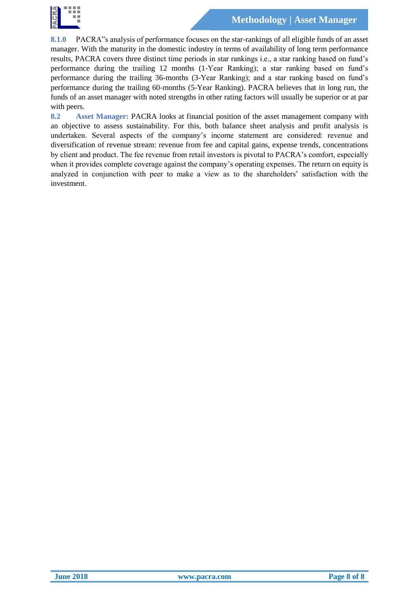

**8.1.0** PACRA"s analysis of performance focuses on the star-rankings of all eligible funds of an asset manager. With the maturity in the domestic industry in terms of availability of long term performance results, PACRA covers three distinct time periods in star rankings i.e., a star ranking based on fund's performance during the trailing 12 months (1-Year Ranking); a star ranking based on fund's performance during the trailing 36-months (3-Year Ranking); and a star ranking based on fund's performance during the trailing 60-months (5-Year Ranking). PACRA believes that in long run, the funds of an asset manager with noted strengths in other rating factors will usually be superior or at par with peers.

**8.2 Asset Manager:** PACRA looks at financial position of the asset management company with an objective to assess sustainability. For this, both balance sheet analysis and profit analysis is undertaken. Several aspects of the company's income statement are considered: revenue and diversification of revenue stream: revenue from fee and capital gains, expense trends, concentrations by client and product. The fee revenue from retail investors is pivotal to PACRA's comfort, especially when it provides complete coverage against the company's operating expenses. The return on equity is analyzed in conjunction with peer to make a view as to the shareholders' satisfaction with the investment.